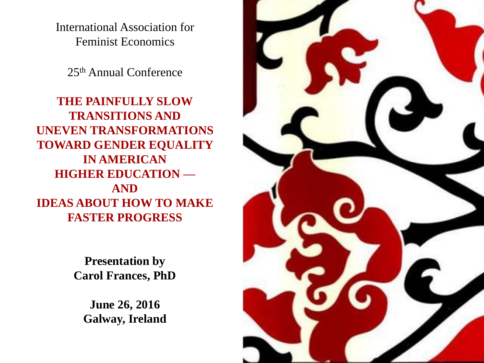International Association for Feminist Economics

25th Annual Conference

**THE PAINFULLY SLOW TRANSITIONS AND UNEVEN TRANSFORMATIONS TOWARD GENDER EQUALITY IN AMERICAN HIGHER EDUCATION — AND IDEAS ABOUT HOW TO MAKE FASTER PROGRESS**

> **Presentation by Carol Frances, PhD**

**June 26, 2016 Galway, Ireland**

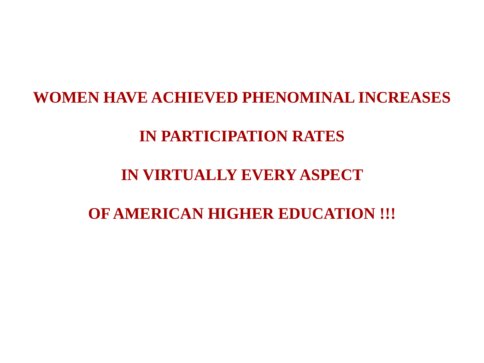# **WOMEN HAVE ACHIEVED PHENOMINAL INCREASES**

# **IN PARTICIPATION RATES**

# **IN VIRTUALLY EVERY ASPECT**

# **OF AMERICAN HIGHER EDUCATION !!!**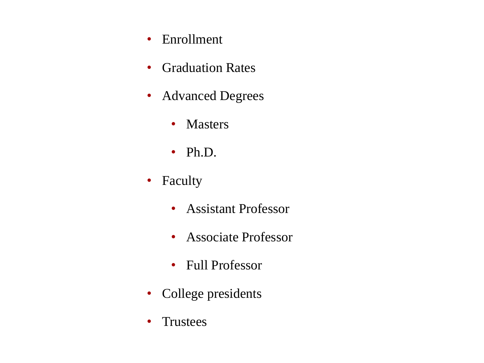- Enrollment
- Graduation Rates
- Advanced Degrees
	- Masters
	- Ph.D.
- Faculty
	- Assistant Professor
	- Associate Professor
	- Full Professor
- College presidents
- Trustees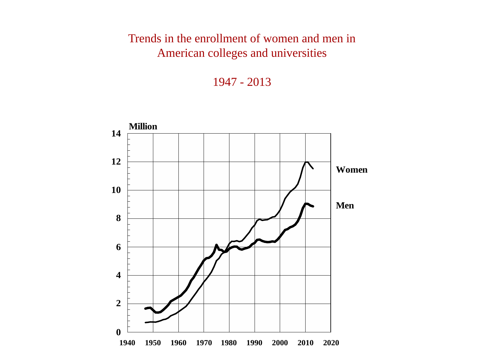# Trends in the enrollment of women and men in American colleges and universities

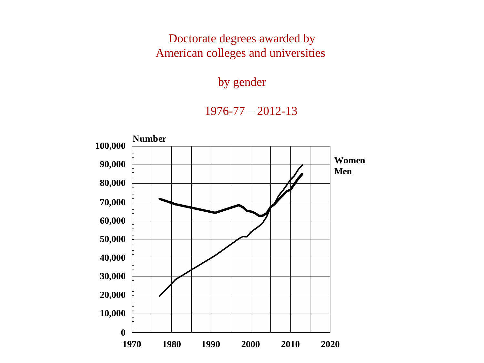Doctorate degrees awarded by American colleges and universities

### by gender

### 1976-77 – 2012-13

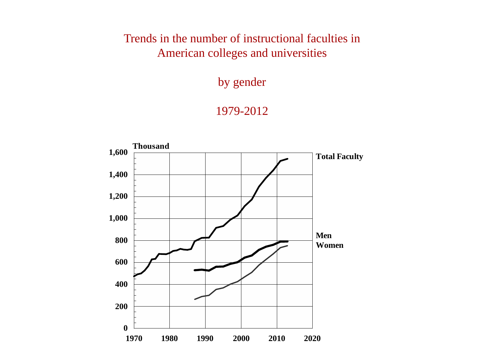# Trends in the number of instructional faculties in American colleges and universities

by gender

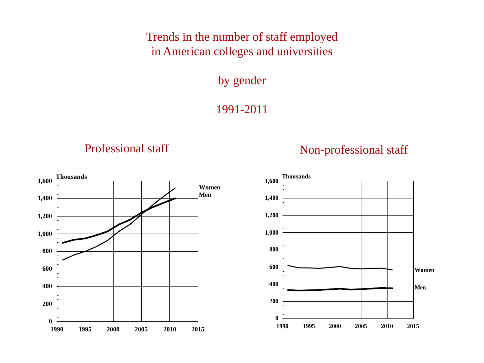Trends in the number of staff employed in American colleges and universities

by gender

1991-2011

# Professional staff Non-professional staff

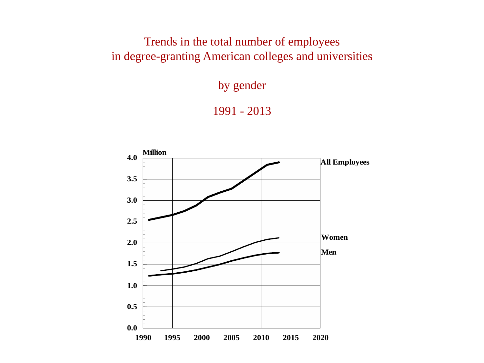Trends in the total number of employees in degree-granting American colleges and universities

by gender



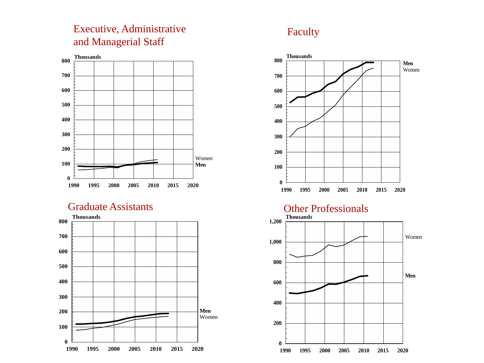### Executive, Administrative and Managerial Staff



Graduate Assistants



### Faculty

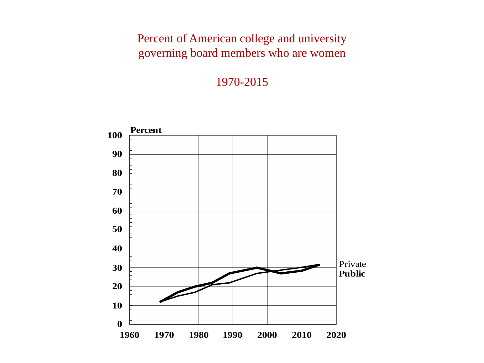# Percent of American college and university governing board members who are women

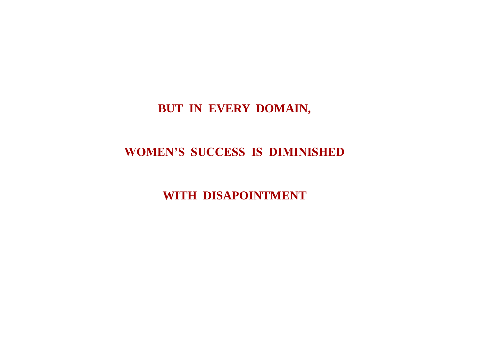# **BUT IN EVERY DOMAIN,**

## **WOMEN'S SUCCESS IS DIMINISHED**

**WITH DISAPOINTMENT**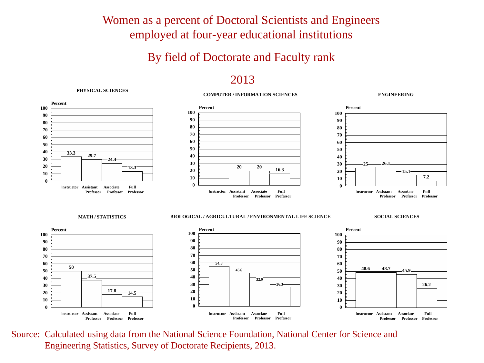Women as a percent of Doctoral Scientists and Engineers employed at four-year educational institutions

### By field of Doctorate and Faculty rank

### 

### **PHYSICAL SCIENCES**

### **COMPUTER / INFORMATION SCIENCES**

**ENGINEERING**



Source: Calculated using data from the National Science Foundation, National Center for Science and Engineering Statistics, Survey of Doctorate Recipients, 2013.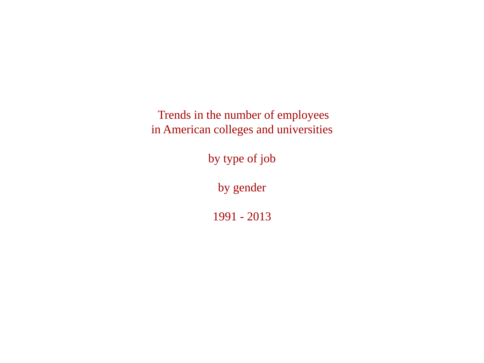Trends in the number of employees in American colleges and universities

by type of job

by gender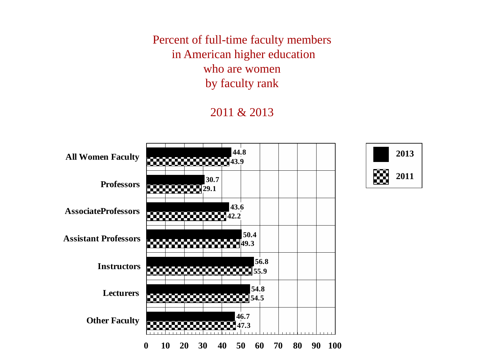Percent of full-time faculty members in American higher education who are women by faculty rank

### 2011 & 2013

**2011**

**2013**

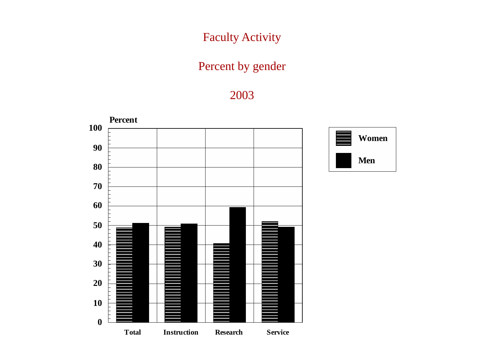# Faculty Activity

# Percent by gender

# 

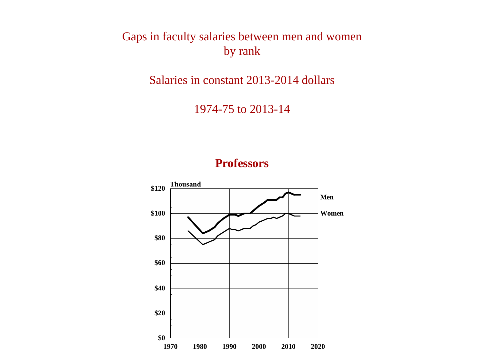Gaps in faculty salaries between men and women by rank

Salaries in constant 2013-2014 dollars

1974-75 to 2013-14

### **Professors**

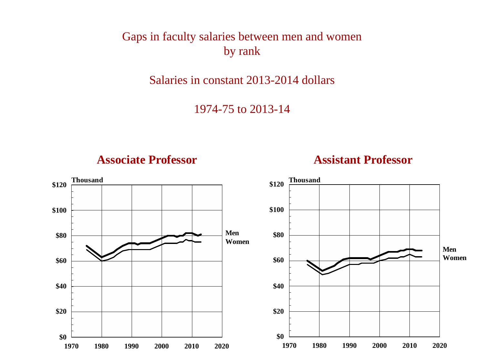Gaps in faculty salaries between men and women by rank

Salaries in constant 2013-2014 dollars

1974-75 to 2013-14



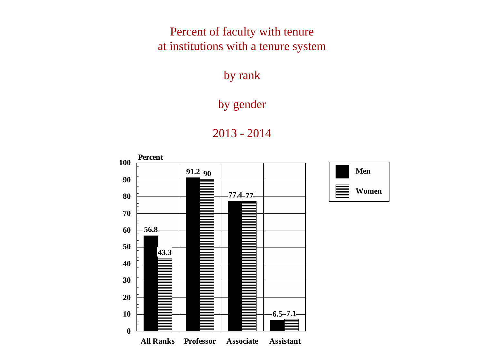Percent of faculty with tenure at institutions with a tenure system

**PERCENT OF FACULTY** by rank

# by gender



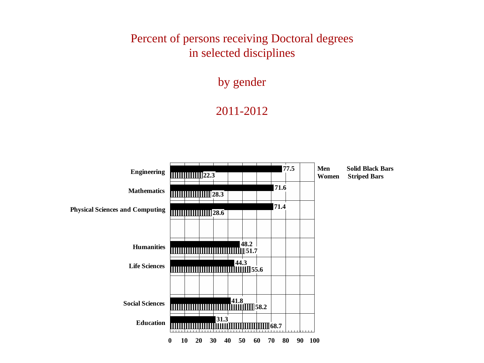# Percent of persons receiving Doctoral degrees in selected disciplines

by gender

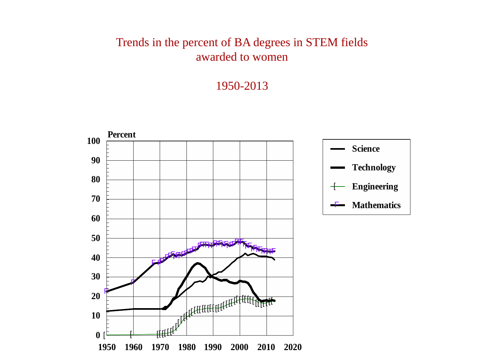### Trends in the percent of BA degrees in STEM fields awarded to women

![](_page_19_Figure_2.jpeg)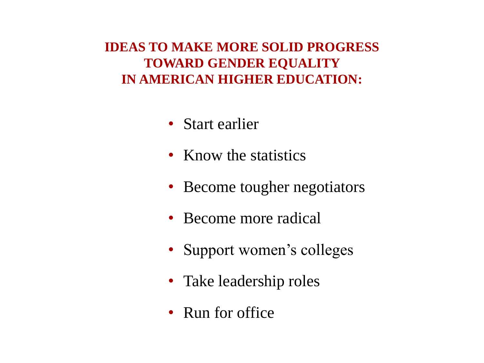# **IDEAS TO MAKE MORE SOLID PROGRESS TOWARD GENDER EQUALITY IN AMERICAN HIGHER EDUCATION:**

- Start earlier
- Know the statistics
- Become tougher negotiators
- Become more radical
- Support women's colleges
- Take leadership roles
- Run for office